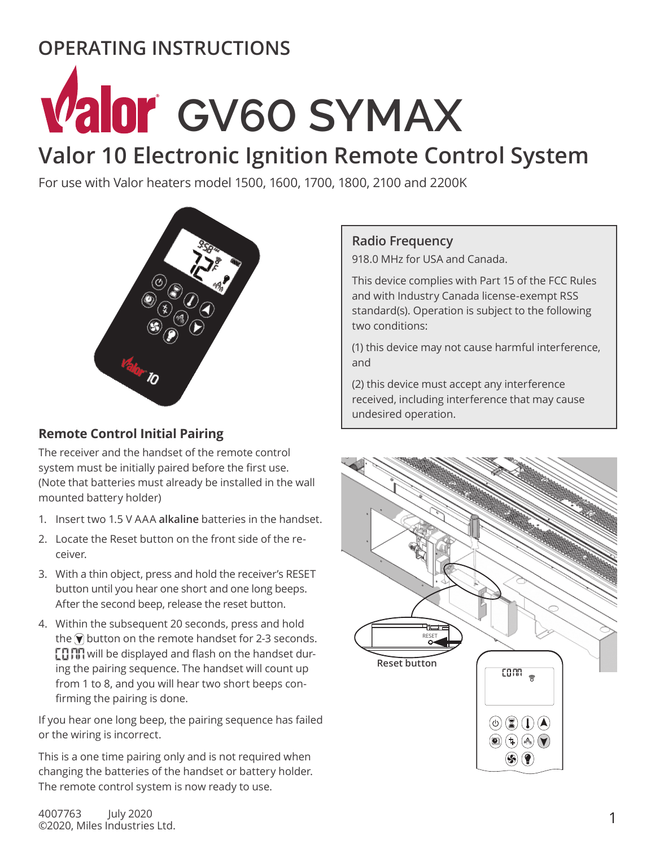## **OPERATING INSTRUCTIONS**

# **Valor** GV60 SYMAX

# **Valor 10 Electronic Ignition Remote Control System**

For use with Valor heaters model 1500, 1600, 1700, 1800, 2100 and 2200K



## **Remote Control Initial Pairing**

The receiver and the handset of the remote control system must be initially paired before the first use. (Note that batteries must already be installed in the wall mounted battery holder)

- 1. Insert two 1.5 V AAA **alkaline** batteries in the handset.
- 2. Locate the Reset button on the front side of the receiver.
- 3. With a thin object, press and hold the receiver's RESET button until you hear one short and one long beeps. After the second beep, release the reset button.
- 4. Within the subsequent 20 seconds, press and hold the  $\widehat{\mathbf{v}}$  button on the remote handset for 2-3 seconds.  $E$ ,  $\prod$ ,  $\prod$  will be displayed and flash on the handset during the pairing sequence. The handset will count up from 1 to 8, and you will hear two short beeps confirming the pairing is done.

If you hear one long beep, the pairing sequence has failed or the wiring is incorrect.

This is a one time pairing only and is not required when changing the batteries of the handset or battery holder. The remote control system is now ready to use.

## **Radio Frequency**

918.0 MHz for USA and Canada.

This device complies with Part 15 of the FCC Rules and with Industry Canada license-exempt RSS standard(s). Operation is subject to the following two conditions:

(1) this device may not cause harmful interference, and

(2) this device must accept any interference received, including interference that may cause undesired operation.



1 4007763 July 2020 ©2020, Miles Industries Ltd.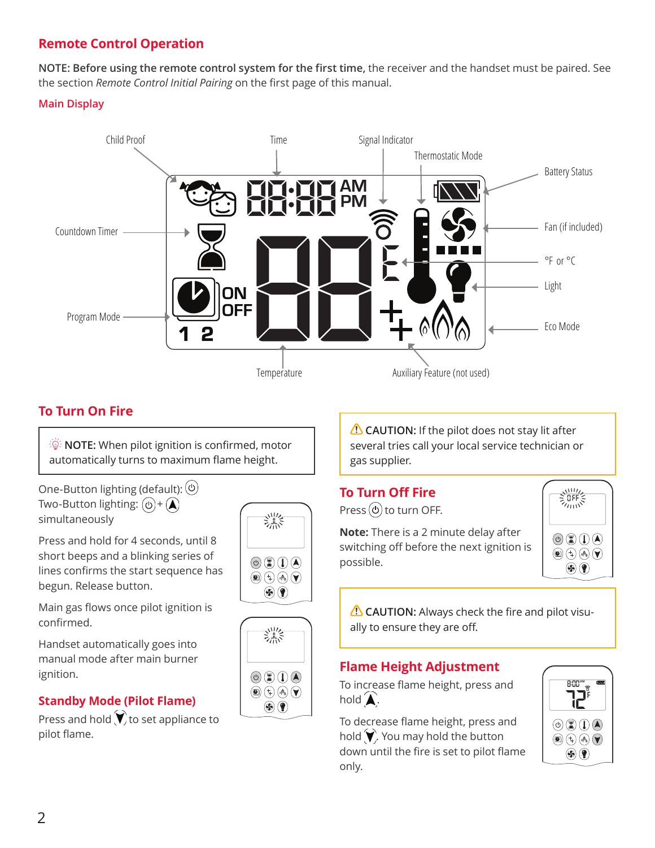## **Remote Control Operation**

**NOTE: Before using the remote control system for the first time,** the receiver and the handset must be paired. See the section *Remote Control Initial Pairing* on the first page of this manual.

## **Main Display**



熟

 $\circledcirc \circledcirc \circledcirc$ 

 $\textcircled{\tiny{A}}$   $\textcircled{\tiny{A}}$   $\textcircled{\tiny{A}}$   $\textcircled{\tiny{B}}$  $\circledast$ 

溔

 $\circledcirc$  (2) (0)  $\circledcirc$  $\textcircled{\tiny{A}}$   $\textcircled{\tiny{A}}$   $\textcircled{\tiny{B}}$  $\circledast$ 

## **To Turn On Fire**

 $\mathbb{R}^{\mathbb{C}}$  **NOTE:** When pilot ignition is confirmed, motor automatically turns to maximum flame height.

One-Button lighting (default):  $(\circ)$ Two-Button lighting:  $(\circ) + (\blacktriangle)$ simultaneously

Press and hold for 4 seconds, until 8 short beeps and a blinking series of lines confirms the start sequence has begun. Release button.

Main gas flows once pilot ignition is confirmed.

Handset automatically goes into manual mode after main burner ignition.

## **Standby Mode (Pilot Flame)**

Press and hold  $\blacktriangledown$  to set appliance to pilot flame.

**CAUTION:** If the pilot does not stay lit after several tries call your local service technician or gas supplier.

## **To Turn Off Fire**

Press  $(\Phi)$  to turn OFF.

**Note:** There is a 2 minute delay after switching off before the next ignition is possible.



**CAUTION:** Always check the fire and pilot visually to ensure they are off.

## **Flame Height Adjustment**

To increase flame height, press and hold  $\blacktriangle$ .

To decrease flame height, press and hold  $\blacktriangledown$ . You may hold the button down until the fire is set to pilot flame only.

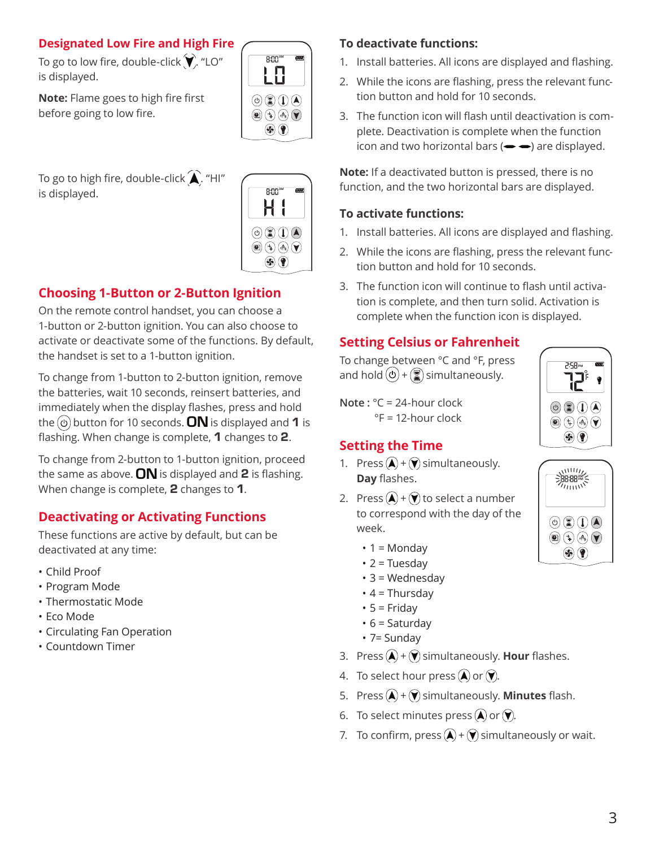## **Designated Low Fire and High Fire**

To go to low fire, double-click  $\blacktriangledown$ . "LO" is displayed.

**Note:** Flame goes to high fire first before going to low fire.

To go to high fire, double-click  $\bigwedge$  "HI" is displayed.





## **Choosing 1-Button or 2-Button Ignition**

On the remote control handset, you can choose a 1-button or 2-button ignition. You can also choose to activate or deactivate some of the functions. By default, the handset is set to a 1-button ignition.

To change from 1-button to 2-button ignition, remove the batteries, wait 10 seconds, reinsert batteries, and immediately when the display flashes, press and hold the  $\textcircled{\tiny 0}$  button for 10 seconds. ON is displayed and 1 is flashing. When change is complete,  $1$  changes to  $2$ .

To change from 2-button to 1-button ignition, proceed the same as above.  $ON$  is displayed and 2 is flashing. When change is complete, 2 changes to 1.

## **Deactivating or Activating Functions**

These functions are active by default, but can be deactivated at any time:

- Child Proof
- Program Mode
- Thermostatic Mode
- Eco Mode
- Circulating Fan Operation
- Countdown Timer

## **To deactivate functions:**

- 1. Install batteries. All icons are displayed and flashing.
- 2. While the icons are flashing, press the relevant function button and hold for 10 seconds.
- 3. The function icon will flash until deactivation is complete. Deactivation is complete when the function icon and two horizontal bars  $(\rightarrow \rightarrow)$  are displayed.

**Note:** If a deactivated button is pressed, there is no function, and the two horizontal bars are displayed.

## **To activate functions:**

- 1. Install batteries. All icons are displayed and flashing.
- 2. While the icons are flashing, press the relevant function button and hold for 10 seconds.
- 3. The function icon will continue to flash until activation is complete, and then turn solid. Activation is complete when the function icon is displayed.

## **Setting Celsius or Fahrenheit**

To change between °C and °F, press and hold  $(\circ)$  +  $\circled{?}$  simultaneously.

**Note :** °C = 24-hour clock °F = 12-hour clock

## **Setting the Time**

- 1. Press  $\left(\triangle\right)$  +  $\left(\blacktriangledown\right)$  simultaneously. **Day** flashes.
- 2. Press  $(A) + (V)$  to select a number to correspond with the day of the week.
	- $\cdot$  1 = Monday
	- $\cdot$  2 = Tuesday
	- $\cdot$  3 = Wednesday
	- $\cdot$  4 = Thursday
	- $5 =$  Friday
	- $\cdot$  6 = Saturday
	- 7= Sunday
- 3. Press  $(A) + (Y)$  simultaneously. **Hour** flashes.
- 4. To select hour press  $\left(\blacktriangle\right)$  or  $\left(\blacktriangledown\right)$ .
- 5. Press  $(\widehat{A}) + (\widehat{v})$  simultaneously. **Minutes** flash.
- 6. To select minutes press  $\left(\bigwedge\limits^{\bullet}$  or  $\left(\bigvee\limits^{\bullet}\right)$ .
- 7. To confirm, press  $(\blacktriangle)$  +  $(\blacktriangledown)$  simultaneously or wait.



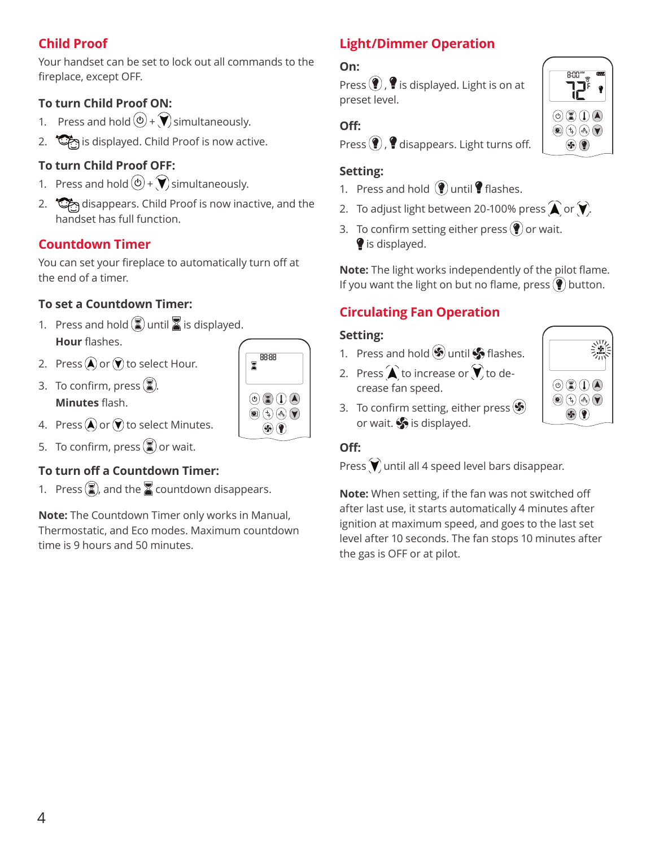## **Child Proof**

Your handset can be set to lock out all commands to the fireplace, except OFF.

## **To turn Child Proof ON:**

- 1. Press and hold  $\textcircled{4} + \textcircled{7}$  simultaneously.
- 2. Sim is displayed. Child Proof is now active.

## **To turn Child Proof OFF:**

- 1. Press and hold  $\textcircled{3} + \textcircled{7}$  simultaneously.
- 2. disappears. Child Proof is now inactive, and the handset has full function.

## **Countdown Timer**

You can set your fireplace to automatically turn off at the end of a timer.

## **To set a Countdown Timer:**

- 1. Press and hold  $\binom{2}{3}$  until  $\binom{3}{4}$  is displayed. **Hour** flashes.
- 2. Press  $(\blacktriangle)$  or  $(\blacktriangledown)$  to select Hour.
- 3. To confirm, press  $\binom{2}{3}$ . **Minutes** flash.
- 4. Press  $\left(\bigwedge\limits^{\bullet}$  or  $\left(\bigvee\limits^{\bullet}\right)$  to select Minutes.
- 5. To confirm, press  $\left(\frac{1}{2}\right)$  or wait.

## **To turn off a Countdown Timer:**

1. Press  $\binom{2}{3}$ , and the  $\binom{2}{3}$  countdown disappears.

**Note:** The Countdown Timer only works in Manual, Thermostatic, and Eco modes. Maximum countdown time is 9 hours and 50 minutes.

## **Light/Dimmer Operation**

## **On:**

Press  $($ **)**,  $\bullet$  is displayed. Light is on at preset level.

## **Off:**

Press  $\left( \mathbf{\hat{P}}\right)$ ,  $\mathbf{\hat{P}}$  disappears. Light turns off.

## **Setting:**

- 1. Press and hold  $\left( \P \right)$  until  $\P$  flashes.
- 2. To adjust light between 20-100% press  $\bigwedge$  or  $\bigvee$ .
- 3. To confirm setting either press  $\left( \P \right)$  or wait. is displayed.

**Note:** The light works independently of the pilot flame. If you want the light on but no flame, press  $(\P)$  button.

## **Circulating Fan Operation**

## **Setting:**

- 1. Press and hold  $\circledast$  until  $\circledast$  flashes.
- 2. Press  $\bigwedge$  to increase or  $\bigvee$  to decrease fan speed.
- 3. To confirm setting, either press  $\left( \clubsuit \right)$ or wait.  $\diamondsuit$  is displayed.

## **Off:**

Press  $\blacktriangledown$  until all 4 speed level bars disappear.

**Note:** When setting, if the fan was not switched off after last use, it starts automatically 4 minutes after ignition at maximum speed, and goes to the last set level after 10 seconds. The fan stops 10 minutes after the gas is OFF or at pilot.

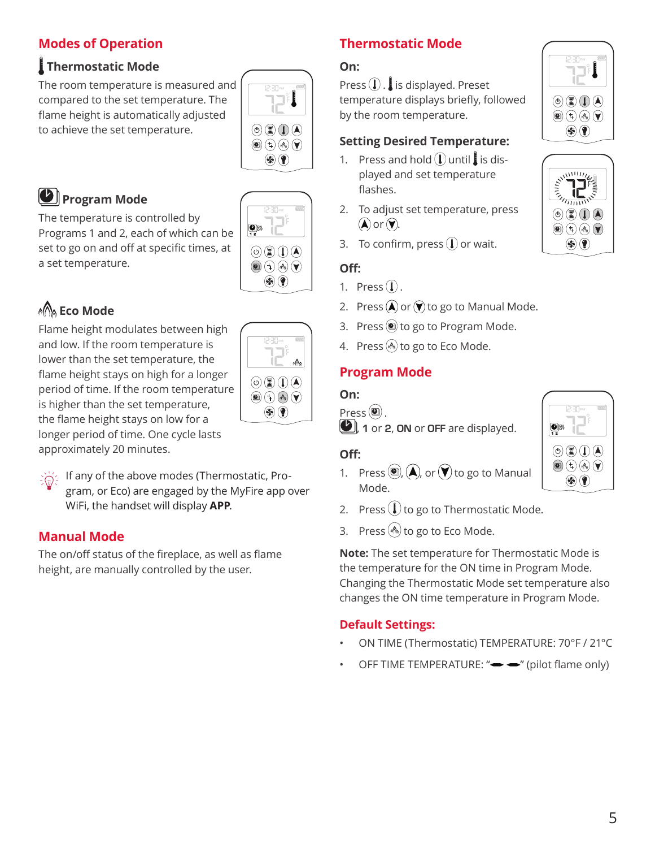## **Modes of Operation**

## **Thermostatic Mode**

The room temperature is measured and compared to the set temperature. The flame height is automatically adjusted to achieve the set temperature.



ON OFF

 $\circledcirc$  ( )  $\circledcirc$  $\textcircled{\tiny{A}}$   $\textcircled{\tiny{A}}$   $\textcircled{\tiny{B}}$  $\circledast$ 

## *D* Program Mode

The temperature is controlled by Programs 1 and 2, each of which can be set to go on and off at specific times, at a set temperature.

## **Eco Mode**

Flame height modulates between high and low. If the room temperature is lower than the set temperature, the flame height stays on high for a longer period of time. If the room temperature is higher than the set temperature, the flame height stays on low for a longer period of time. One cycle lasts

 $\circledcirc \circledcirc \circledcirc$  $\textcircled{\scriptsize{1}}\textcircled{\scriptsize{1}}\textcircled{\scriptsize{4}}\textcircled{\scriptsize{4}}\textcircled{\scriptsize{7}}$  $\circledast$ 

approximately 20 minutes.

If any of the above modes (Thermostatic, Program, or Eco) are engaged by the MyFire app over WiFi, the handset will display **APP**.

## **Manual Mode**

The on/off status of the fireplace, as well as flame height, are manually controlled by the user.

## **Thermostatic Mode**

## **On:**

Press  $\left( \mathbf{l} \right)$ . is displayed. Preset temperature displays briefly, followed by the room temperature.

## **Setting Desired Temperature:**

- 1. Press and hold  $\left(\int \mathbf{I} \cdot d\mathbf{I}\right)$  is displayed and set temperature flashes.
- 2. To adjust set temperature, press  $\mathbf{A}$  or  $\mathbf{V}$ .
- 3. To confirm, press  $\mathbb Q$  or wait.

## **Off:**

- 1. Press $(\mathbf{l})$ .
- 2. Press  $\left(\bigwedge\limits^{\bullet}$  or  $\left(\bigvee\limits^{\bullet}$  to go to Manual Mode.
- 3. Press  $\circledcirc$  to go to Program Mode.
- 4. Press (4) to go to Eco Mode.

## **Program Mode**

## **On:**

 $Press$   $\left(\bigcircright)$ . 1 or 2, ON or OFF are displayed.

## **Off:**

- 1. Press  $\left( \bigcirc n, A \right)$ , or  $\left( \bigvee n \right)$  to go to Manual Mode.
- 2. Press  $\bigcup$  to go to Thermostatic Mode.
- 3. Press  $\binom{4}{3}$  to go to Eco Mode.

**Note:** The set temperature for Thermostatic Mode is the temperature for the ON time in Program Mode. Changing the Thermostatic Mode set temperature also changes the ON time temperature in Program Mode.

## **Default Settings:**

- ON TIME (Thermostatic) TEMPERATURE: 70°F / 21°C
- OFF TIME TEMPERATURE: " $\rightarrow$  " (pilot flame only)





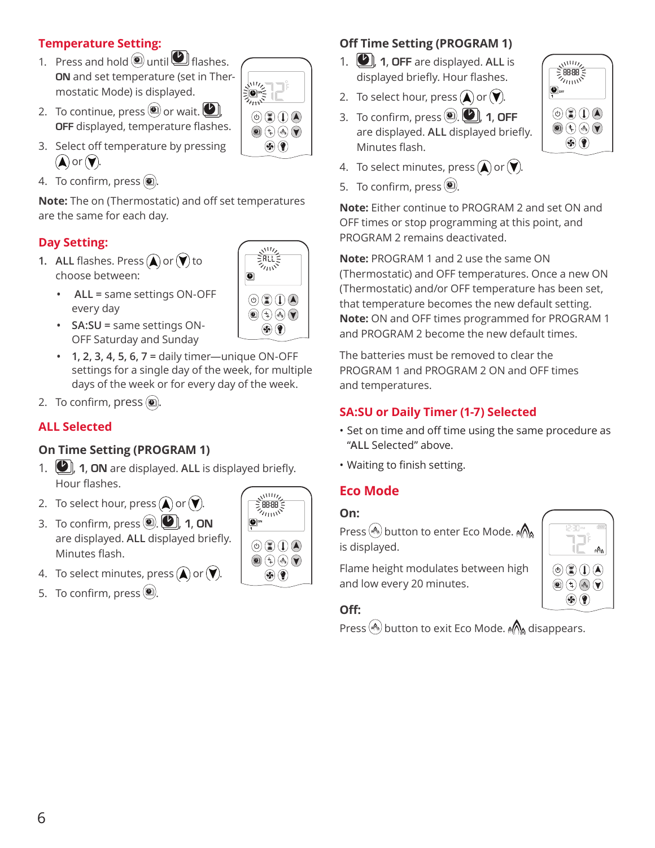## **Temperature Setting:**

- 1. Press and hold  $\textcircled{\tiny{\textcircled{\tiny{0}}}}$  until  $\textcircled{\tiny{\textcircled{\tiny{1}}}}$  flashes. ON and set temperature (set in Thermostatic Mode) is displayed.
	- $\frac{\sqrt{11}}{2}$  $\circledcirc$  ( )  $\circledcirc$  $\textcircled{\tiny{\textcircled{\tiny{A}}}}$  $\circledast$

 $\overline{M}$ 熟

 $\circledcirc$   $\circledcirc$   $\circledcirc$  $\textcircled{\tiny{\textcircled{\tiny{\#}}}} \oplus \textcircled{\tiny{\textcircled{\tiny{\#}}}} \ \textcircled{\tiny{\textcircled{\tiny{\#}}}}$  $\circledast$ 

O

- 2. To continue, press  $\circledast$  or wait.  $\circledast$ OFF displayed, temperature flashes.
- 3. Select off temperature by pressing  $\mathbf{A}$  or  $\mathbf{v}$ .
- 4. To confirm, press  $(2)$ .

**Note:** The on (Thermostatic) and off set temperatures are the same for each day.

## **Day Setting:**

- **1.** ALL flashes. Press  $\left(\bigwedge\limits^{\bullet}$  or  $\left(\bigvee\limits^{\bullet}\right)$  to choose between:
	- **ALL =** same settings ON-OFF every day
	- **SA:SU =** same settings ON-OFF Saturday and Sunday
	- **1, 2, 3, 4, 5, 6, 7 =** daily timer—unique ON-OFF settings for a single day of the week, for multiple days of the week or for every day of the week.
- 2. To confirm, press  $(2)$ .

## **ALL Selected**

## **On Time Setting (PROGRAM 1)**

- 1.  $\Box$ , **1, ON** are displayed. ALL is displayed briefly. Hour flashes.
- 2. To select hour, press  $\left(\bigwedge\limits^{\bullet}$  or  $\left(\bigvee\limits^{\bullet}\right)$ .
- 3. To confirm, press  $\left($ **O**,  $\left($ **O**, 1, ON are displayed. ALL displayed briefly. Minutes flash.
- 4. To select minutes, press  $\left(\bigwedge\limits^{\bullet}$  or  $\left(\bigvee\limits^{\bullet}\right)$ .
- 5. To confirm, press  $\left( \bigcirc \right)$



## **Off Time Setting (PROGRAM 1)**

- 1. **(A)**, **1, OFF** are displayed. ALL is displayed briefly. Hour flashes.
- 2. To select hour, press  $\bigcirc$  or  $\bigvee$ .
- 3. To confirm, press  $\left( \bigcirc \right)$ ,  $\left( \bigcirc \right)$ , 1, OFF are displayed. ALL displayed briefly. Minutes flash.
- 4. To select minutes, press  $\left(\bigwedge\limits^{\bullet}$  or  $\left(\bigvee\limits^{\bullet}\right)$ .
- 5. To confirm, press  $\left( \bigcirc \right)$

**Note:** Either continue to PROGRAM 2 and set ON and OFF times or stop programming at this point, and PROGRAM 2 remains deactivated.

**Note:** PROGRAM 1 and 2 use the same ON (Thermostatic) and OFF temperatures. Once a new ON (Thermostatic) and/or OFF temperature has been set, that temperature becomes the new default setting. **Note:** ON and OFF times programmed for PROGRAM 1 and PROGRAM 2 become the new default times.

The batteries must be removed to clear the PROGRAM 1 and PROGRAM 2 ON and OFF times and temperatures.

## **SA:SU or Daily Timer (1-7) Selected**

- Set on time and off time using the same procedure as "**ALL** Selected" above.
- Waiting to finish setting.

## **Eco Mode**

## **On:**

Press  $\binom{A}{A}$  button to enter Eco Mode.  $\binom{A}{A}$ is displayed.

Flame height modulates between high and low every 20 minutes.



## **Off:**

Press  $\binom{4}{1}$  button to exit Eco Mode.  $\binom{4}{1}$  disappears.

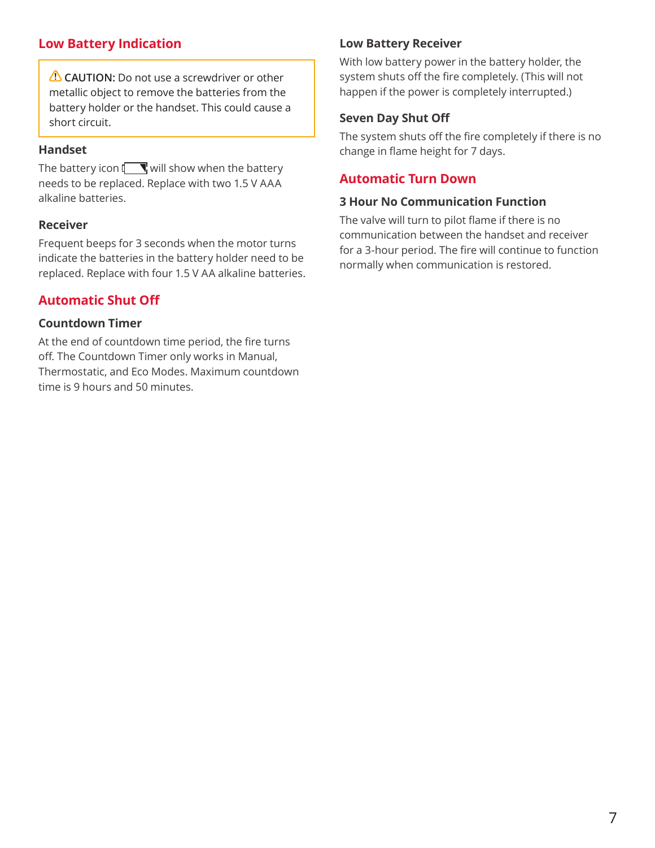## **Low Battery Indication**

**CAUTION:** Do not use a screwdriver or other metallic object to remove the batteries from the battery holder or the handset. This could cause a short circuit.

#### **Handset**

The battery icon  $\Box$  will show when the battery needs to be replaced. Replace with two 1.5 V AAA alkaline batteries.

## **Receiver**

Frequent beeps for 3 seconds when the motor turns indicate the batteries in the battery holder need to be replaced. Replace with four 1.5 V AA alkaline batteries.

## **Automatic Shut Off**

## **Countdown Timer**

At the end of countdown time period, the fire turns off. The Countdown Timer only works in Manual, Thermostatic, and Eco Modes. Maximum countdown time is 9 hours and 50 minutes.

## **Low Battery Receiver**

With low battery power in the battery holder, the system shuts off the fire completely. (This will not happen if the power is completely interrupted.)

## **Seven Day Shut Off**

The system shuts off the fire completely if there is no change in flame height for 7 days.

## **Automatic Turn Down**

#### **3 Hour No Communication Function**

The valve will turn to pilot flame if there is no communication between the handset and receiver for a 3-hour period. The fire will continue to function normally when communication is restored.